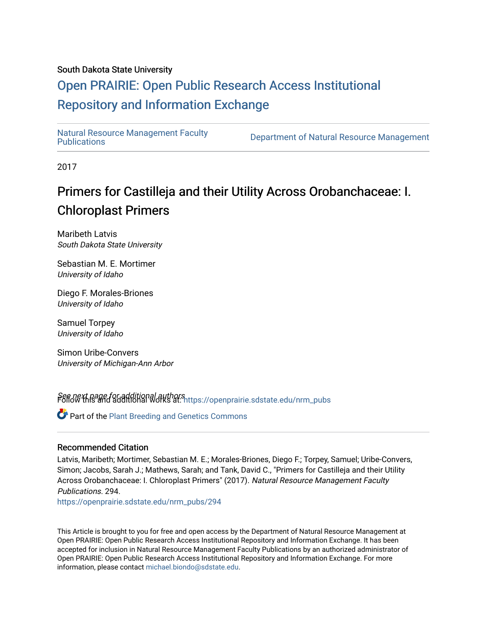### South Dakota State University

## [Open PRAIRIE: Open Public Research Access Institutional](https://openprairie.sdstate.edu/)  [Repository and Information Exchange](https://openprairie.sdstate.edu/)

Natural Resource Management Faculty<br>Publications

Department of Natural Resource Management

2017

# Primers for Castilleja and their Utility Across Orobanchaceae: I. Chloroplast Primers

Maribeth Latvis South Dakota State University

Sebastian M. E. Mortimer University of Idaho

Diego F. Morales-Briones University of Idaho

Samuel Torpey University of Idaho

Simon Uribe-Convers University of Michigan-Ann Arbor

See next page for additional authors<br>Follow this and additional works at: [https://openprairie.sdstate.edu/nrm\\_pubs](https://openprairie.sdstate.edu/nrm_pubs?utm_source=openprairie.sdstate.edu%2Fnrm_pubs%2F294&utm_medium=PDF&utm_campaign=PDFCoverPages)

Part of the [Plant Breeding and Genetics Commons](http://network.bepress.com/hgg/discipline/108?utm_source=openprairie.sdstate.edu%2Fnrm_pubs%2F294&utm_medium=PDF&utm_campaign=PDFCoverPages)

#### Recommended Citation

Latvis, Maribeth; Mortimer, Sebastian M. E.; Morales-Briones, Diego F.; Torpey, Samuel; Uribe-Convers, Simon; Jacobs, Sarah J.; Mathews, Sarah; and Tank, David C., "Primers for Castilleja and their Utility Across Orobanchaceae: I. Chloroplast Primers" (2017). Natural Resource Management Faculty Publications. 294.

[https://openprairie.sdstate.edu/nrm\\_pubs/294](https://openprairie.sdstate.edu/nrm_pubs/294?utm_source=openprairie.sdstate.edu%2Fnrm_pubs%2F294&utm_medium=PDF&utm_campaign=PDFCoverPages)

This Article is brought to you for free and open access by the Department of Natural Resource Management at Open PRAIRIE: Open Public Research Access Institutional Repository and Information Exchange. It has been accepted for inclusion in Natural Resource Management Faculty Publications by an authorized administrator of Open PRAIRIE: Open Public Research Access Institutional Repository and Information Exchange. For more information, please contact [michael.biondo@sdstate.edu](mailto:michael.biondo@sdstate.edu).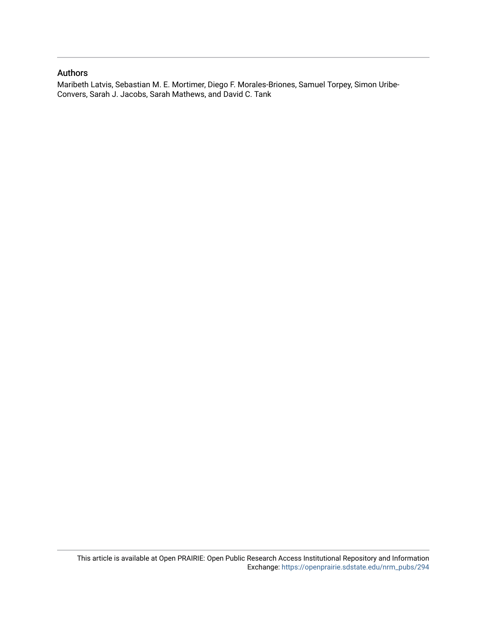### Authors

Maribeth Latvis, Sebastian M. E. Mortimer, Diego F. Morales-Briones, Samuel Torpey, Simon Uribe-Convers, Sarah J. Jacobs, Sarah Mathews, and David C. Tank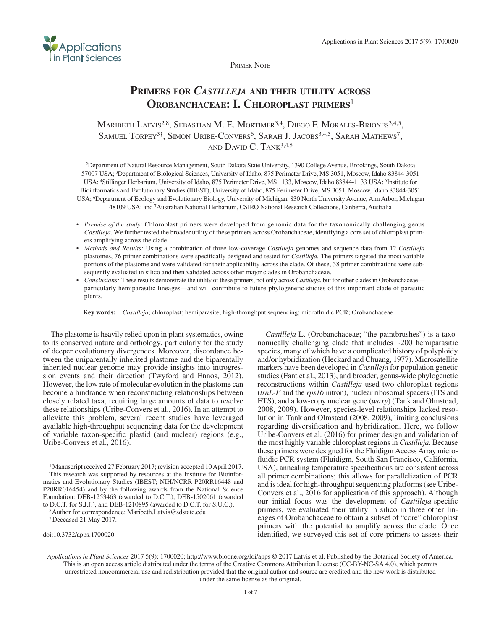

Primer Note

## **Primers for** *Castilleja* **and their utility across Orobanchaceae: I. Chloroplast primers**<sup>1</sup>

MARIBETH LATVIS<sup>2,8</sup>, SEBASTIAN M. E. MORTIMER<sup>3,4</sup>, DIEGO F. MORALES-BRIONES<sup>3,4,5</sup>, SAMUEL TORPEY<sup>3†</sup>, SIMON URIBE-CONVERS<sup>6</sup>, SARAH J. JACOBS<sup>3,4,5</sup>, SARAH MATHEWS<sup>7</sup>, AND  $D$ AVID  $C$ . TANK<sup>3,4,5</sup>

2Department of Natural Resource Management, South Dakota State University, 1390 College Avenue, Brookings, South Dakota 57007 USA; 3Department of Biological Sciences, University of Idaho, 875 Perimeter Drive, MS 3051, Moscow, Idaho 83844-3051 USA; 4Stillinger Herbarium, University of Idaho, 875 Perimeter Drive, MS 1133, Moscow, Idaho 83844-1133 USA; 5Institute for Bioinformatics and Evolutionary Studies (IBEST), University of Idaho, 875 Perimeter Drive, MS 3051, Moscow, Idaho 83844-3051 USA; 6Department of Ecology and Evolutionary Biology, University of Michigan, 830 North University Avenue, Ann Arbor, Michigan 48109 USA; and 7Australian National Herbarium, CSIRO National Research Collections, Canberra, Australia

- • *Premise of the study:* Chloroplast primers were developed from genomic data for the taxonomically challenging genus *Castilleja*. We further tested the broader utility of these primers across Orobanchaceae, identifying a core set of chloroplast primers amplifying across the clade.
- • *Methods and Results:* Using a combination of three low-coverage *Castilleja* genomes and sequence data from 12 *Castilleja* plastomes, 76 primer combinations were specifically designed and tested for *Castilleja.* The primers targeted the most variable portions of the plastome and were validated for their applicability across the clade. Of these, 38 primer combinations were subsequently evaluated in silico and then validated across other major clades in Orobanchaceae.
- *Conclusions:* These results demonstrate the utility of these primers, not only across *Castilleja*, but for other clades in Orobanchaceae particularly hemiparasitic lineages—and will contribute to future phylogenetic studies of this important clade of parasitic plants.

**Key words:** *Castilleja*; chloroplast; hemiparasite; high-throughput sequencing; microfluidic PCR; Orobanchaceae.

The plastome is heavily relied upon in plant systematics, owing to its conserved nature and orthology, particularly for the study of deeper evolutionary divergences. Moreover, discordance between the uniparentally inherited plastome and the biparentally inherited nuclear genome may provide insights into introgression events and their direction (Twyford and Ennos, 2012). However, the low rate of molecular evolution in the plastome can become a hindrance when reconstructing relationships between closely related taxa, requiring large amounts of data to resolve these relationships (Uribe-Convers et al., 2016). In an attempt to alleviate this problem, several recent studies have leveraged available high-throughput sequencing data for the development of variable taxon-specific plastid (and nuclear) regions (e.g., Uribe-Convers et al., 2016).

1Manuscript received 27 February 2017; revision accepted 10 April 2017. This research was supported by resources at the Institute for Bioinformatics and Evolutionary Studies (IBEST; NIH/NCRR P20RR16448 and P20RR016454) and by the following awards from the National Science Foundation: DEB-1253463 (awarded to D.C.T.), DEB-1502061 (awarded to D.C.T. for S.J.J.), and DEB-1210895 (awarded to D.C.T. for S.U.C.).

8Author for correspondence: Maribeth.Latvis@sdstate.edu

†Deceased 21 May 2017.

doi:10.3732/apps.1700020

*Castilleja* L. (Orobanchaceae; "the paintbrushes") is a taxonomically challenging clade that includes ~200 hemiparasitic species, many of which have a complicated history of polyploidy and/or hybridization (Heckard and Chuang, 1977). Microsatellite markers have been developed in *Castilleja* for population genetic studies (Fant et al., 2013), and broader, genus-wide phylogenetic reconstructions within *Castilleja* used two chloroplast regions (*trnL-F* and the *rps16* intron), nuclear ribosomal spacers (ITS and ETS), and a low-copy nuclear gene (*waxy*) (Tank and Olmstead, 2008, 2009). However, species-level relationships lacked resolution in Tank and Olmstead (2008, 2009), limiting conclusions regarding diversification and hybridization. Here, we follow Uribe-Convers et al. (2016) for primer design and validation of the most highly variable chloroplast regions in *Castilleja*. Because these primers were designed for the Fluidigm Access Array microfluidic PCR system (Fluidigm, South San Francisco, California, USA), annealing temperature specifications are consistent across all primer combinations; this allows for parallelization of PCR and is ideal for high-throughput sequencing platforms (see Uribe-Convers et al., 2016 for application of this approach). Although our initial focus was the development of *Castilleja*-specific primers, we evaluated their utility in silico in three other lineages of Orobanchaceae to obtain a subset of "core" chloroplast primers with the potential to amplify across the clade. Once identified, we surveyed this set of core primers to assess their

*Applications in Plant Sciences* 2017 5(9): 1700020;<http://www.bioone.org/loi/apps> © 2017 Latvis et al. Published by the Botanical Society of America. This is an open access article distributed under the terms of the Creative Commons Attribution License ([CC-BY-NC-SA 4.0](https://creativecommons.org/licenses/by-nc-sa/4.0/)), which permits unrestricted noncommercial use and redistribution provided that the original author and source are credited and the new work is distributed under the same license as the original.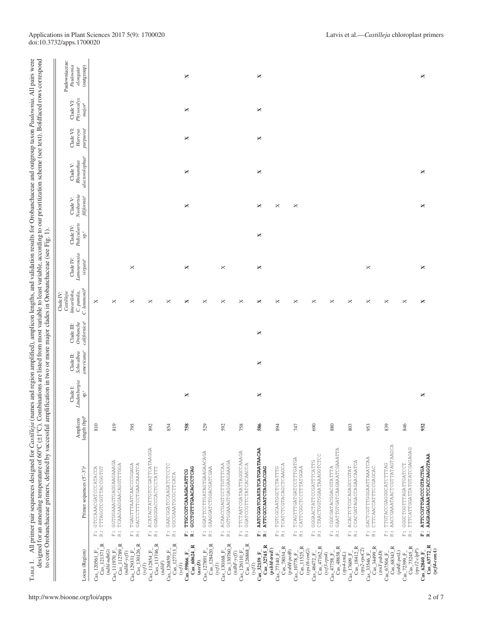|                                                                                                                                        | to core Orobanchaceae primers, defined by successful amplification in two or more major clades in Orobanchaceae (see Fig. 1).         |                                      |                                                         |                                                  |                                                     | Clade IV:                                                             |                                                  |                                           |                                       |                                                       |                                               |                                      |                                                                    |
|----------------------------------------------------------------------------------------------------------------------------------------|---------------------------------------------------------------------------------------------------------------------------------------|--------------------------------------|---------------------------------------------------------|--------------------------------------------------|-----------------------------------------------------|-----------------------------------------------------------------------|--------------------------------------------------|-------------------------------------------|---------------------------------------|-------------------------------------------------------|-----------------------------------------------|--------------------------------------|--------------------------------------------------------------------|
| Locus (Region)                                                                                                                         | Primer sequences $(5' - 3')^a$                                                                                                        | length (bp) <sup>b</sup><br>Amplicon | Lindenbergia<br>Clade I:<br>$\mathrm{sp.}^{\mathrm{c}}$ | Schwalbea<br>americana <sup>c</sup><br>Clade II: | californica <sup>c</sup><br>Orobanche<br>Clade III: | C. lemmonir <sup>d</sup><br>lineari loba,<br>C. punila,<br>Castilleja | Lamourouxia<br>Clade IV:<br>virgata <sup>e</sup> | Pedicularis<br>Clade IV:<br>$^{\circ}$ es | Neobartsia<br>filifornise<br>Clade V: | alectorolophus <sup>c</sup><br>Rhinanthus<br>Clade V: | Clade VI:<br>purpurea <sup>c</sup><br>Harveya | Physocalyx<br>Clade VI:<br>$major^e$ | Paulowniaceae:<br>Paulownia<br>(outgroup)<br>elongata <sup>c</sup> |
| $Cas\_121371_R$<br>$Cas\_120561$ F                                                                                                     | TTTAGGTCGGTACCGTGT<br>GTCCAAACGATCCCATACCA<br>$\ddot{\mathbb{R}}$ , $\dddot{\mathbb{R}}$                                              | 810                                  |                                                         |                                                  |                                                     | ×                                                                     |                                                  |                                           |                                       |                                                       |                                               |                                      |                                                                    |
| $Cas_112789$ R<br>$(ndh1\text{-}ndhG)$<br>$\text{Cas}\_111970\text{ F}$                                                                | GGTGGAAAGTGAGGAAGAAAGA<br>TCAAGAAGGAACAGGTTGGA<br>$\begin{array}{c} \ldots \\ \boxdot \\ \boxtimes \end{array}$                       | 819                                  |                                                         |                                                  |                                                     | ×                                                                     |                                                  |                                           |                                       |                                                       |                                               |                                      |                                                                    |
| $Cas_130126_R$<br>$(ndhF-ycfl)$<br>$CaS_129331$ F                                                                                      | TGAGTTTAATCAACCCGAAGA<br>GACCCTTCCTGAACAAATCA<br>$\begin{array}{cc} \ldots & \ldots \\ \ldots & \ldots \end{array}$                   | 795                                  |                                                         |                                                  |                                                     | ×                                                                     | $\Join$                                          |                                           |                                       |                                                       |                                               |                                      |                                                                    |
| Cas_113746_R<br>Cas_112854 F<br>()ocf                                                                                                  | ACATAGTATTGTCCGATTCATAAGGA<br>GGAGGGACCCACTCCTATTT<br>$\stackrel{\ldots}{\bowtie} \stackrel{\ldots}{\varpi}$                          | 892                                  |                                                         |                                                  |                                                     | ×                                                                     |                                                  |                                           |                                       |                                                       |                                               |                                      |                                                                    |
| Cas_127713_R<br>$Cas\_126859$ <sub><math>F</math></sub><br>$(ndhF)$                                                                    | GAACGGATCCAAGATCTCCTC<br>GGCGAAATGCGCTTCATA<br>$\ddot{\tilde{E}}$ as                                                                  | 854                                  |                                                         |                                                  |                                                     | ×                                                                     |                                                  |                                           |                                       |                                                       |                                               |                                      |                                                                    |
| $Cas\_60624$ <sub>_R</sub><br>$Cas_59866_F$<br>(yqI)                                                                                   | GCCTGTTTGAACAGCCTCAG<br>TTGCCGTCAAAGACATTCG<br><br>中 14                                                                               | 758                                  | ×                                                       |                                                  |                                                     | ×                                                                     | ×                                                |                                           | ×                                     | ×                                                     | ×                                             | ×                                    | ×                                                                  |
| Cas_128420_R<br>$Cas\_127891$ <sub>-F</sub><br>(acD)                                                                                   | GGATTCCTTGATAGTGAAGAACAGA<br>GAAGGATCTGGACGATCGAA<br>$\ddot{\Xi}$ ii                                                                  | 529                                  |                                                         |                                                  |                                                     | ×                                                                     |                                                  |                                           |                                       |                                                       |                                               |                                      |                                                                    |
| $CaS_130760$ <sub>R</sub><br>$Cas\_130168$ <sub><math>-</math>F</sub><br>(yqI)                                                         | GGTGGAAAGTGAGGAAGAAAGA<br>ACAACCGAGTCCTTGTTCAA<br>$\ddot{\Xi}$ is                                                                     | 592                                  |                                                         |                                                  |                                                     | ×                                                                     | $\boldsymbol{\times}$                            |                                           |                                       |                                                       |                                               |                                      |                                                                    |
| $\begin{array}{c} \mathrm{Cas}_\_126110\_F\_\\ \mathrm{Cas}_\_126868\_R \end{array}$<br>$(ndhF-ycf1)$                                  | TTCTAATCGATAATTAGGCCAAAGA<br>GGATCCGTTCTATCACAACCA<br>$\ddot{\tilde{E}}$ $\dddot{\tilde{E}}$                                          | 758                                  |                                                         |                                                  |                                                     | ×                                                                     |                                                  |                                           |                                       |                                                       |                                               |                                      |                                                                    |
| Cas 32745 R<br>Cas 32159 F<br>(ycf1)                                                                                                   | AATCGGATCAATATCATGAATAACAA<br>ATTCGCCAATCTACCACGAG<br>i.<br>R                                                                         | 586                                  | ×                                                       | ×                                                | ×                                                   | ×                                                                     | ×                                                | ×                                         | ×                                     | ×                                                     | ×                                             | ×                                    | ×                                                                  |
| ≃<br>$(psbM-trnE)$<br>$\frac{\text{Ca}\text{s}\_\text{77140}\text{F}\_\text{1}}{\text{Ca}\text{s}\_\text{78034}}$                      | TCATCTCGTACAGCTCAAGCA<br>TGTCGCAATGGCTCTATTTG<br>$\ddot{\tilde{E}}$ , $\dddot{\tilde{E}}$                                             | 894                                  |                                                         |                                                  |                                                     | ×                                                                     |                                                  |                                           | ×                                     |                                                       |                                               |                                      |                                                                    |
| $CaS_11525_R$<br>$(psbH-petB)$<br>Cas_10778 F                                                                                          | TCAGTTTGATGATCCTTTGATGA<br>CATTCGGCTCCTTRTGGAA<br>$\ddot{\tilde{K}}$<br>$\cdot$ .<br>ſщ                                               | 747                                  |                                                         |                                                  |                                                     | ×                                                                     |                                                  |                                           | ×                                     |                                                       |                                               |                                      |                                                                    |
| ≃<br>$(rps16\text{-}tmG)$<br>$\frac{Cas\_46472_F}{Cas\_47162}$                                                                         | CTAACTGGTGGAATAAAGGTCTCC<br>GGGAACTATTCGATTCATTG<br>$\stackrel{\leftrightarrow}{\mathbb{H}}$ $\stackrel{\leftrightarrow}{\mathbb{H}}$ | 690                                  |                                                         |                                                  |                                                     | ×                                                                     |                                                  |                                           |                                       |                                                       |                                               |                                      |                                                                    |
| Cas_48638_R<br>$(yC5-rps4)$<br>$Cas_47758$ F                                                                                           | GAATTGTGATCAAGAAATCGAAATTA<br>CGGCGATACGGACGTATTA<br>$\stackrel{\ldots}{\bowtie} \stackrel{\ldots}{\bowtie}$                          | 880                                  |                                                         |                                                  |                                                     | ×                                                                     |                                                  |                                           |                                       |                                                       |                                               |                                      |                                                                    |
| $\approx$<br>$\begin{array}{c} \mathrm{Cas} \_17609\_F\_\\ \mathrm{Cas} \_18412\_R\\ (rps2-rpoC2) \end{array}$<br>$(rps4\text{-}rrnL)$ | CCACGATAGACCAGAACAATCA<br>ACACTOGCAGAGOCGTAT<br>$\ddot{\tilde{E}}$ , $\dddot{\tilde{E}}$                                              | 803                                  |                                                         |                                                  |                                                     | ×                                                                     |                                                  |                                           |                                       |                                                       |                                               |                                      |                                                                    |
| Cas 34499 R<br>$Cas_33546_F$                                                                                                           | GACTCGTTGGGAATTAAATCAA<br>CTTCAACCATTTCCGAGCAC<br>$\stackrel{}{\bowtie} \stackrel{}{\propto}$                                         | 953                                  |                                                         |                                                  |                                                     | ×                                                                     | ×                                                |                                           |                                       |                                                       |                                               |                                      |                                                                    |
| $\begin{array}{c} \mathrm{Cas}_\bot 67504 \_F_- \\ \mathrm{Cas}_\bot 68343 \_R \end{array}$<br>$(trnT-psbD)$                           | AACCGAAATAACTCGTTATAGTAAGCA<br>TTGTACCGAGGGATCTTTAG<br>$\ddot{\tilde{E}}$ $\dddot{\tilde{E}}$                                         | 839                                  |                                                         |                                                  |                                                     | ×                                                                     |                                                  |                                           |                                       |                                                       |                                               |                                      |                                                                    |
| Cas 73245 R<br>$(psbE-petL)$<br>$Cas$ <sub>272399</sub> $F$                                                                            | TTTCATTGGATTATGTATCGAGAGAG<br>GGGCTGATTTAGATTGATC<br>$\ddot{\tilde{r}}$ . $\dddot{\tilde{r}}$                                         | 846                                  |                                                         |                                                  |                                                     | ×                                                                     |                                                  |                                           |                                       |                                                       |                                               |                                      |                                                                    |
| $\frac{CaS_63772_R}{(vef4\text{-}cemA)}$<br>$(rps12-clpP)$<br>$Cas$ 62840 $F$                                                          | AAGAGAGAAAATCCACCAAGGTAAA<br>ATTCCGTTGACCCGTACTGA<br>ii ii                                                                            | 932                                  | ×                                                       |                                                  |                                                     | ×                                                                     | ×                                                |                                           | ×                                     | ×                                                     |                                               |                                      | ×                                                                  |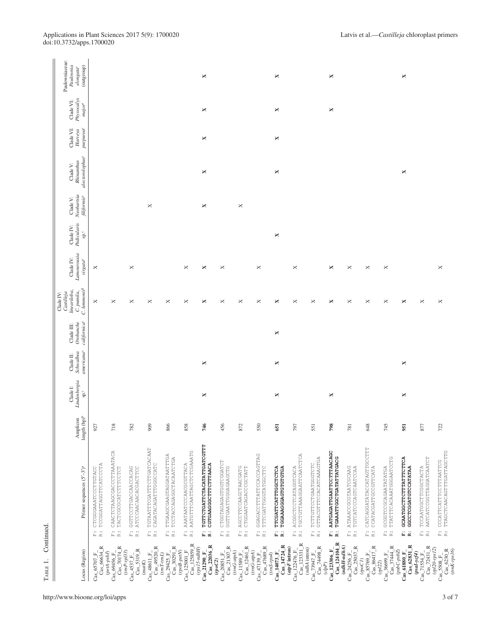| ×<br>×<br>×<br>×<br>×<br>×<br>×<br>×<br>×<br>×<br>×<br>×<br>×<br>×<br>×<br>×<br>$\bowtie$<br>×<br>×<br>×<br>×<br>×<br>×<br>×<br>×<br>×<br>×<br>×<br>×<br>×<br>$\times$<br>×<br>×<br>×<br>×<br>×<br>×<br>×<br>×<br>×<br>×<br>×<br>×<br>×<br>×<br>×<br>×<br>×<br>×<br>×<br>×<br>×<br>×<br>×<br>×<br>×<br>718<br>866<br>456<br>550<br>782<br>858<br>746<br>872<br>798<br>648<br>745<br>877<br>722<br>909<br>651<br>797<br>551<br>951<br>927<br>781<br>TGTTCTGATTCTACATATTGATCGTTT<br>TGTAATTTCGATTCTTGATCACAAT<br>CATCAGGATATACCATAGTTGCCTTT<br>CAACTCTAAGCGACCCTTAAATACA<br>F: AAATAATCCCAACGCGTTACA<br>R: AATGTTTCAATTAGCTCTCGAAATG<br>AATGAGATTGAATTCCTTTAACAGC<br>F: CCCATTCATTCCTTTAATTCG<br>R: TTAGCTCAACAGTTTGATTAGCTTG<br>GGAGACCTTTATTCCACCAGTTAG<br>TTGAAGCGAAGTAGGATAATTTGA<br>TCCTACCAGAGGCTACAATCTGA<br>ACGGCTCCTCATAGGTCACA<br>TGCTGTTAAAGGAATTCAATCTCA<br>TGAAATTGGCTGATATTATGACG<br>GTTACGTTCCACATCAAAGTGA<br>TTATTTCACAAATGGGAATCCTG<br>GCAATGGCTTCTTTATTTCTTCA<br>AATCATCOGGTTAGGATCAATCT<br>F: CTGGTAGAGAGTGGTCGGATCT<br>R: GGTTGAATTGGAGAGCTG<br>CAGATACAGATTGGCCCATC<br>CGTGAAGGGCTTTCTTTAACA<br>TCTTGTTCCTGAATGGTCTCTC<br>TCCGGATTAGGTTCATCCCTA<br>ATAAACCGCGTAATCGCAAG<br>F: GGTTCCTTGACCAACCACAG<br>TTCGATTCATTTGGCTCTCA<br>CCATACGATTGCCGTTCATA<br>TCCAATGGCTTCGGCTACTA<br>AGCCTTCCAAGCTAACGATG<br>CTGGAATCAGACCCCTATT<br>TGGAAAGGGAGTGTGTGTGA<br>TGTCATCCCAGTCAATCCAA<br>GCGGTCCGCAGAATATATGA<br>GGCCTCGGATGTCCATATAA<br>CTCGGGAAATCCTTGTACC<br>TACTCGCGCATCTTCCTCT<br>ATCCCAACAACACGACTTCC<br>TTTCGATTGGTATGGCTTC<br>$\ddot{\tilde{z}}$<br>$\ddot{r}$<br>$\begin{array}{cc} \ldots & \ldots \\ \ldots & \ldots \end{array}$<br>$\begin{array}{c} \ldots \\ \vdots \\ \vdots \\ \ldots \end{array}$<br>$\begin{array}{c} \ldots \\ \vdots \\ \vdots \\ \end{array}$<br>$\ddot{\tilde{z}}$ $\dddot{\tilde{z}}$<br>$\stackrel{\leftrightarrow}{\bowtie} \stackrel{\rightarrow}{\approx}$<br>$\ddot{\vec{k}}$<br>$\ddot{\tilde{z}}$<br>$\ddot{\vec{k}}$<br>$\stackrel{\leftrightarrow}{\mathbb{R}}\stackrel{\leftrightarrow}{\mathbb{R}}$<br>$\stackrel{\leftrightarrow}{\mathbb{R}}\stackrel{\leftrightarrow}{\mathbb{R}}$<br>$\ddot{\Xi}$ $\dddot{\Xi}$<br>$\ddot{\tilde{\kappa}}$<br>i.<br>R<br>i.<br>$\ddot{\bf k}$<br>å ä<br>$\ddot{\tilde{E}}$ is<br>$\ddot{\simeq}$<br>ii ii<br>Cas 124104 R<br>$\frac{\text{Cas}\_125859\_R}{\left(\text{rps15-ndhH}\right)}$<br>$CaS_123331$ <sub>_</sub> R<br>$Cas_62831_R$<br>$Cas_222036_R$<br>$Cas\_14724$ <sub>-R</sub><br>$(ndhH\text{-}ndhA)$<br>$Cas_70174_R$<br>$Cas_49520_R$<br>Cas_12461_R<br>Cas_74498_R<br>>_ <sup>2+250</sup> _F_<br>Cas_25037_R<br>$\begin{array}{c} \mathrm{Cas}\_85769\_F\_\\ \mathrm{Cas}\_86417\_R \end{array}$<br>$\frac{1}{\text{Cas}\_72431\_\text{R}}$<br>$\rm Cas\_66634\_R$<br>$Cas_30291$ R<br>$(atpF$ intron)<br>(ndhA intron)<br>$(rpl20-rpsl2)$<br>$Cas_{2}123306_F$<br>$Cas\_5319_R$<br>$\begin{array}{c} \mathrm{Cas}\_5508\_F_-\\ \mathrm{Cas}\_6230\_R \end{array}$<br>$(rnK-rps16)$<br>$(psbC-psbZ)$<br>$(rnr-rp133)$<br>$\left( rpoB\text{-}petN\right)$<br>$Cas\_125001$ <sub><math>-</math></sub> F<br>$(trnG-atpA)$<br>$Cas_{122476}F$<br>(trnG-atpA)<br>$(peta-psbJ)$<br>${\begin{array}{c} (psal\textrm{-}ycf4)\\ \textrm{Ca}\textrm{s}\_\textrm{71554}\_\textrm{F}\ \end{array}}$<br>$Cas_48611_F$<br>Cas 11589 F<br>$Cas_61880$ F<br>$(m\bar{T} \text{-} t m L)$<br>$\mathrm{Cas}$ 21290 F<br>$(rnS-rps4)$<br>$Cas\_14073$ F<br>$Cas_73947$ F<br>$Cas_69456_F$<br>$Cas\_24256$ F<br>$Cas_29425$ F<br>$Cas\_65707$ <sub>-F</sub><br>$Cas\_4537$ $F.$<br>$\left( rpoC2\right)$<br>(ppoCl)<br>(matK)<br>$\left( r p l 2 \right)$<br>$\left( c l p P \right)$ | Locus (Region) | Primer sequences $(5' - 3')^a$ | $length (bp)^b$<br>Amplicon | Lindenbergia<br>Clade I:<br>$\mathrm{sp.}^{\mathrm{c}}$ | Schwalbea<br>americana <sup>c</sup><br>Clade II: | californica <sup>c</sup><br>Orobanche<br>Clade III: | $C.$ lemmoni $\vec{r}^{\text{d}}$<br>lineariloba,<br>C. punila,<br>Castilleja<br>Clade IV: | Lamourouxia<br>Clade IV:<br>virgata <sup>e</sup> | Pedicularis<br>Clade IV:<br>$^{\circ}$ es | Neobartsia<br>filifornis <sup>e</sup><br>Clade V: | alectorolophus <sup>c</sup><br>Rhinanthus<br>Clade V: | purpurea <sup>c</sup><br>Clade VI:<br>Harveya | Physocalyx<br>Clade VI:<br>$major^e$ | Paulowniaceae:<br>Paulownia<br>(dnorano)<br>elongata <sup>c</sup> |
|----------------------------------------------------------------------------------------------------------------------------------------------------------------------------------------------------------------------------------------------------------------------------------------------------------------------------------------------------------------------------------------------------------------------------------------------------------------------------------------------------------------------------------------------------------------------------------------------------------------------------------------------------------------------------------------------------------------------------------------------------------------------------------------------------------------------------------------------------------------------------------------------------------------------------------------------------------------------------------------------------------------------------------------------------------------------------------------------------------------------------------------------------------------------------------------------------------------------------------------------------------------------------------------------------------------------------------------------------------------------------------------------------------------------------------------------------------------------------------------------------------------------------------------------------------------------------------------------------------------------------------------------------------------------------------------------------------------------------------------------------------------------------------------------------------------------------------------------------------------------------------------------------------------------------------------------------------------------------------------------------------------------------------------------------------------------------------------------------------------------------------------------------------------------------------------------------------------------------------------------------------------------------------------------------------------------------------------------------------------------------------------------------------------------------------------------------------------------------------------------------------------------------------------------------------------------------------------------------------------------------------------------------------------------------------------------------------------------------------------------------------------------------------------------------------------------------------------------------------------------------------------------------------------------------------------------------------------------------------------------------------------------------------------------------------------------------------------------------------------------------------------------------------------------------------------------------------------------------------------------------------------------------------------------------------------------------------------------------------------------------------------------------------------------------------------------------------------------------------------------------------------------------------------------------------------------------------------------------------------------------------------------------------------------------------|----------------|--------------------------------|-----------------------------|---------------------------------------------------------|--------------------------------------------------|-----------------------------------------------------|--------------------------------------------------------------------------------------------|--------------------------------------------------|-------------------------------------------|---------------------------------------------------|-------------------------------------------------------|-----------------------------------------------|--------------------------------------|-------------------------------------------------------------------|
|                                                                                                                                                                                                                                                                                                                                                                                                                                                                                                                                                                                                                                                                                                                                                                                                                                                                                                                                                                                                                                                                                                                                                                                                                                                                                                                                                                                                                                                                                                                                                                                                                                                                                                                                                                                                                                                                                                                                                                                                                                                                                                                                                                                                                                                                                                                                                                                                                                                                                                                                                                                                                                                                                                                                                                                                                                                                                                                                                                                                                                                                                                                                                                                                                                                                                                                                                                                                                                                                                                                                                                                                                                                                                  |                |                                |                             |                                                         |                                                  |                                                     |                                                                                            |                                                  |                                           |                                                   |                                                       |                                               |                                      |                                                                   |
|                                                                                                                                                                                                                                                                                                                                                                                                                                                                                                                                                                                                                                                                                                                                                                                                                                                                                                                                                                                                                                                                                                                                                                                                                                                                                                                                                                                                                                                                                                                                                                                                                                                                                                                                                                                                                                                                                                                                                                                                                                                                                                                                                                                                                                                                                                                                                                                                                                                                                                                                                                                                                                                                                                                                                                                                                                                                                                                                                                                                                                                                                                                                                                                                                                                                                                                                                                                                                                                                                                                                                                                                                                                                                  |                |                                |                             |                                                         |                                                  |                                                     |                                                                                            |                                                  |                                           |                                                   |                                                       |                                               |                                      |                                                                   |
|                                                                                                                                                                                                                                                                                                                                                                                                                                                                                                                                                                                                                                                                                                                                                                                                                                                                                                                                                                                                                                                                                                                                                                                                                                                                                                                                                                                                                                                                                                                                                                                                                                                                                                                                                                                                                                                                                                                                                                                                                                                                                                                                                                                                                                                                                                                                                                                                                                                                                                                                                                                                                                                                                                                                                                                                                                                                                                                                                                                                                                                                                                                                                                                                                                                                                                                                                                                                                                                                                                                                                                                                                                                                                  |                |                                |                             |                                                         |                                                  |                                                     |                                                                                            |                                                  |                                           |                                                   |                                                       |                                               |                                      |                                                                   |
| $\begin{array}{c} \rm{Cas}\_36699\_F\_\\ \rm{Cas}\_37444\_R \end{array}$<br>$\frac{\mathrm{Ca}\mathrm{s}\_\mathrm{47139}\mathrm{F}\_\mathrm{}}{\mathrm{Ca}\mathrm{s}\_\mathrm{47689}\mathrm{R}}$                                                                                                                                                                                                                                                                                                                                                                                                                                                                                                                                                                                                                                                                                                                                                                                                                                                                                                                                                                                                                                                                                                                                                                                                                                                                                                                                                                                                                                                                                                                                                                                                                                                                                                                                                                                                                                                                                                                                                                                                                                                                                                                                                                                                                                                                                                                                                                                                                                                                                                                                                                                                                                                                                                                                                                                                                                                                                                                                                                                                                                                                                                                                                                                                                                                                                                                                                                                                                                                                                 |                |                                |                             |                                                         |                                                  |                                                     |                                                                                            |                                                  |                                           |                                                   |                                                       |                                               |                                      |                                                                   |
| $\frac{\text{Cas}\_20851\_F_-}{\text{Cas}\_21307\_R}$                                                                                                                                                                                                                                                                                                                                                                                                                                                                                                                                                                                                                                                                                                                                                                                                                                                                                                                                                                                                                                                                                                                                                                                                                                                                                                                                                                                                                                                                                                                                                                                                                                                                                                                                                                                                                                                                                                                                                                                                                                                                                                                                                                                                                                                                                                                                                                                                                                                                                                                                                                                                                                                                                                                                                                                                                                                                                                                                                                                                                                                                                                                                                                                                                                                                                                                                                                                                                                                                                                                                                                                                                            |                |                                |                             |                                                         |                                                  |                                                     |                                                                                            |                                                  |                                           |                                                   |                                                       |                                               |                                      |                                                                   |
|                                                                                                                                                                                                                                                                                                                                                                                                                                                                                                                                                                                                                                                                                                                                                                                                                                                                                                                                                                                                                                                                                                                                                                                                                                                                                                                                                                                                                                                                                                                                                                                                                                                                                                                                                                                                                                                                                                                                                                                                                                                                                                                                                                                                                                                                                                                                                                                                                                                                                                                                                                                                                                                                                                                                                                                                                                                                                                                                                                                                                                                                                                                                                                                                                                                                                                                                                                                                                                                                                                                                                                                                                                                                                  |                |                                |                             |                                                         |                                                  |                                                     |                                                                                            |                                                  |                                           |                                                   |                                                       |                                               |                                      |                                                                   |
|                                                                                                                                                                                                                                                                                                                                                                                                                                                                                                                                                                                                                                                                                                                                                                                                                                                                                                                                                                                                                                                                                                                                                                                                                                                                                                                                                                                                                                                                                                                                                                                                                                                                                                                                                                                                                                                                                                                                                                                                                                                                                                                                                                                                                                                                                                                                                                                                                                                                                                                                                                                                                                                                                                                                                                                                                                                                                                                                                                                                                                                                                                                                                                                                                                                                                                                                                                                                                                                                                                                                                                                                                                                                                  |                |                                |                             |                                                         |                                                  |                                                     |                                                                                            |                                                  |                                           |                                                   |                                                       |                                               |                                      |                                                                   |
|                                                                                                                                                                                                                                                                                                                                                                                                                                                                                                                                                                                                                                                                                                                                                                                                                                                                                                                                                                                                                                                                                                                                                                                                                                                                                                                                                                                                                                                                                                                                                                                                                                                                                                                                                                                                                                                                                                                                                                                                                                                                                                                                                                                                                                                                                                                                                                                                                                                                                                                                                                                                                                                                                                                                                                                                                                                                                                                                                                                                                                                                                                                                                                                                                                                                                                                                                                                                                                                                                                                                                                                                                                                                                  |                |                                |                             |                                                         |                                                  |                                                     |                                                                                            |                                                  |                                           |                                                   |                                                       |                                               |                                      |                                                                   |
|                                                                                                                                                                                                                                                                                                                                                                                                                                                                                                                                                                                                                                                                                                                                                                                                                                                                                                                                                                                                                                                                                                                                                                                                                                                                                                                                                                                                                                                                                                                                                                                                                                                                                                                                                                                                                                                                                                                                                                                                                                                                                                                                                                                                                                                                                                                                                                                                                                                                                                                                                                                                                                                                                                                                                                                                                                                                                                                                                                                                                                                                                                                                                                                                                                                                                                                                                                                                                                                                                                                                                                                                                                                                                  |                |                                |                             |                                                         |                                                  |                                                     |                                                                                            |                                                  |                                           |                                                   |                                                       |                                               |                                      |                                                                   |
|                                                                                                                                                                                                                                                                                                                                                                                                                                                                                                                                                                                                                                                                                                                                                                                                                                                                                                                                                                                                                                                                                                                                                                                                                                                                                                                                                                                                                                                                                                                                                                                                                                                                                                                                                                                                                                                                                                                                                                                                                                                                                                                                                                                                                                                                                                                                                                                                                                                                                                                                                                                                                                                                                                                                                                                                                                                                                                                                                                                                                                                                                                                                                                                                                                                                                                                                                                                                                                                                                                                                                                                                                                                                                  |                |                                |                             |                                                         |                                                  |                                                     |                                                                                            |                                                  |                                           |                                                   |                                                       |                                               |                                      |                                                                   |
|                                                                                                                                                                                                                                                                                                                                                                                                                                                                                                                                                                                                                                                                                                                                                                                                                                                                                                                                                                                                                                                                                                                                                                                                                                                                                                                                                                                                                                                                                                                                                                                                                                                                                                                                                                                                                                                                                                                                                                                                                                                                                                                                                                                                                                                                                                                                                                                                                                                                                                                                                                                                                                                                                                                                                                                                                                                                                                                                                                                                                                                                                                                                                                                                                                                                                                                                                                                                                                                                                                                                                                                                                                                                                  |                |                                |                             |                                                         |                                                  |                                                     |                                                                                            |                                                  |                                           |                                                   |                                                       |                                               |                                      |                                                                   |
|                                                                                                                                                                                                                                                                                                                                                                                                                                                                                                                                                                                                                                                                                                                                                                                                                                                                                                                                                                                                                                                                                                                                                                                                                                                                                                                                                                                                                                                                                                                                                                                                                                                                                                                                                                                                                                                                                                                                                                                                                                                                                                                                                                                                                                                                                                                                                                                                                                                                                                                                                                                                                                                                                                                                                                                                                                                                                                                                                                                                                                                                                                                                                                                                                                                                                                                                                                                                                                                                                                                                                                                                                                                                                  |                |                                |                             |                                                         |                                                  |                                                     |                                                                                            |                                                  |                                           |                                                   |                                                       |                                               |                                      |                                                                   |
|                                                                                                                                                                                                                                                                                                                                                                                                                                                                                                                                                                                                                                                                                                                                                                                                                                                                                                                                                                                                                                                                                                                                                                                                                                                                                                                                                                                                                                                                                                                                                                                                                                                                                                                                                                                                                                                                                                                                                                                                                                                                                                                                                                                                                                                                                                                                                                                                                                                                                                                                                                                                                                                                                                                                                                                                                                                                                                                                                                                                                                                                                                                                                                                                                                                                                                                                                                                                                                                                                                                                                                                                                                                                                  |                |                                |                             |                                                         |                                                  |                                                     |                                                                                            |                                                  |                                           |                                                   |                                                       |                                               |                                      |                                                                   |
|                                                                                                                                                                                                                                                                                                                                                                                                                                                                                                                                                                                                                                                                                                                                                                                                                                                                                                                                                                                                                                                                                                                                                                                                                                                                                                                                                                                                                                                                                                                                                                                                                                                                                                                                                                                                                                                                                                                                                                                                                                                                                                                                                                                                                                                                                                                                                                                                                                                                                                                                                                                                                                                                                                                                                                                                                                                                                                                                                                                                                                                                                                                                                                                                                                                                                                                                                                                                                                                                                                                                                                                                                                                                                  |                |                                |                             |                                                         |                                                  |                                                     |                                                                                            |                                                  |                                           |                                                   |                                                       |                                               |                                      |                                                                   |
|                                                                                                                                                                                                                                                                                                                                                                                                                                                                                                                                                                                                                                                                                                                                                                                                                                                                                                                                                                                                                                                                                                                                                                                                                                                                                                                                                                                                                                                                                                                                                                                                                                                                                                                                                                                                                                                                                                                                                                                                                                                                                                                                                                                                                                                                                                                                                                                                                                                                                                                                                                                                                                                                                                                                                                                                                                                                                                                                                                                                                                                                                                                                                                                                                                                                                                                                                                                                                                                                                                                                                                                                                                                                                  |                |                                |                             |                                                         |                                                  |                                                     |                                                                                            |                                                  |                                           |                                                   |                                                       |                                               |                                      |                                                                   |
|                                                                                                                                                                                                                                                                                                                                                                                                                                                                                                                                                                                                                                                                                                                                                                                                                                                                                                                                                                                                                                                                                                                                                                                                                                                                                                                                                                                                                                                                                                                                                                                                                                                                                                                                                                                                                                                                                                                                                                                                                                                                                                                                                                                                                                                                                                                                                                                                                                                                                                                                                                                                                                                                                                                                                                                                                                                                                                                                                                                                                                                                                                                                                                                                                                                                                                                                                                                                                                                                                                                                                                                                                                                                                  |                |                                |                             |                                                         |                                                  |                                                     |                                                                                            |                                                  |                                           |                                                   |                                                       |                                               |                                      |                                                                   |
|                                                                                                                                                                                                                                                                                                                                                                                                                                                                                                                                                                                                                                                                                                                                                                                                                                                                                                                                                                                                                                                                                                                                                                                                                                                                                                                                                                                                                                                                                                                                                                                                                                                                                                                                                                                                                                                                                                                                                                                                                                                                                                                                                                                                                                                                                                                                                                                                                                                                                                                                                                                                                                                                                                                                                                                                                                                                                                                                                                                                                                                                                                                                                                                                                                                                                                                                                                                                                                                                                                                                                                                                                                                                                  |                |                                |                             |                                                         |                                                  |                                                     |                                                                                            |                                                  |                                           |                                                   |                                                       |                                               |                                      |                                                                   |
|                                                                                                                                                                                                                                                                                                                                                                                                                                                                                                                                                                                                                                                                                                                                                                                                                                                                                                                                                                                                                                                                                                                                                                                                                                                                                                                                                                                                                                                                                                                                                                                                                                                                                                                                                                                                                                                                                                                                                                                                                                                                                                                                                                                                                                                                                                                                                                                                                                                                                                                                                                                                                                                                                                                                                                                                                                                                                                                                                                                                                                                                                                                                                                                                                                                                                                                                                                                                                                                                                                                                                                                                                                                                                  |                |                                |                             |                                                         |                                                  |                                                     |                                                                                            |                                                  |                                           |                                                   |                                                       |                                               |                                      |                                                                   |
|                                                                                                                                                                                                                                                                                                                                                                                                                                                                                                                                                                                                                                                                                                                                                                                                                                                                                                                                                                                                                                                                                                                                                                                                                                                                                                                                                                                                                                                                                                                                                                                                                                                                                                                                                                                                                                                                                                                                                                                                                                                                                                                                                                                                                                                                                                                                                                                                                                                                                                                                                                                                                                                                                                                                                                                                                                                                                                                                                                                                                                                                                                                                                                                                                                                                                                                                                                                                                                                                                                                                                                                                                                                                                  |                |                                |                             |                                                         |                                                  |                                                     |                                                                                            |                                                  |                                           |                                                   |                                                       |                                               |                                      |                                                                   |
|                                                                                                                                                                                                                                                                                                                                                                                                                                                                                                                                                                                                                                                                                                                                                                                                                                                                                                                                                                                                                                                                                                                                                                                                                                                                                                                                                                                                                                                                                                                                                                                                                                                                                                                                                                                                                                                                                                                                                                                                                                                                                                                                                                                                                                                                                                                                                                                                                                                                                                                                                                                                                                                                                                                                                                                                                                                                                                                                                                                                                                                                                                                                                                                                                                                                                                                                                                                                                                                                                                                                                                                                                                                                                  |                |                                |                             |                                                         |                                                  |                                                     |                                                                                            |                                                  |                                           |                                                   |                                                       |                                               |                                      |                                                                   |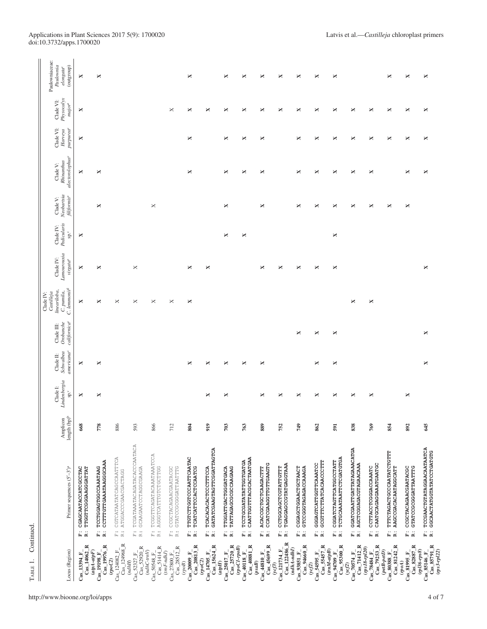| ×<br>×<br>×<br>×<br>×<br>×<br>×<br>×<br>×<br>×<br>×<br>×<br>×<br>$\boldsymbol{\times}$<br>×<br>×<br>×<br>×<br>×<br>×<br>×<br>×<br>×<br>×<br>×<br>×<br>×<br>×<br>×<br>×<br>×<br>×<br>×<br>×<br>×<br>×<br>×<br>×<br>×<br>×<br>×<br>×<br>×<br>×<br>×<br>×<br>×<br>×<br>×<br>×<br>×<br>×<br>×<br>×<br>×<br>×<br>×<br>×<br>×<br>×<br>×<br>×<br>×<br>×<br>×<br>×<br>×<br>×<br>×<br>×<br>×<br>×<br>×<br>×<br>×<br>×<br>×<br>×<br>×<br>×<br>×<br>×<br>×<br>×<br>×<br>×<br>×<br>×<br>×<br>×<br>×<br>×<br>×<br>×<br>×<br>×<br>×<br>×<br>×<br>×<br>×<br>×<br>×<br>×<br>×<br>×<br>×<br>×<br>×<br>×<br>×<br>×<br>×<br>×<br>×<br>×<br>778<br>866<br>749<br>769<br>645<br>668<br>886<br>712<br>804<br>919<br>703<br>763<br>889<br>862<br>838<br>892<br>593<br>752<br>854<br>591<br>TCGATAAATACAGATACACCCAATACA<br>F: TCCGAACTGTATAGGAACAATAATCA<br>R: GGCAACTATGGTATATCCTGATGTG<br>GATATCGAAGTAGTTCGGATTAGTCA<br>GGATCGAATTGATTATAGAAACATGA<br>TTTCTAGACTGCCCAATATCTGTTT<br>F: TCGGTTCAGATACAAATAAATCCA<br>R: AGGGTCATTTGTCCTTGG<br>TTGTCTTGGTCCCAATTCAATAC<br>F: CGTCATAATATCAGCCAATTTCA<br>R: ATGGACCCGAACGACTAGG<br>CAATTGGTTTACGCACTAATGAA<br>TCTGCAAATAATTCTCGATGTGA<br>R: CCTTTGTTGAAATAAGGGCAAA<br>TCCTGCGATATATTGGTGATGA<br>CGGATCTAGTTCATGGCCTATT<br>GCGTTTCTTATCACAACCCTTT<br>CCATCGAAGGTTGTTGAAGTG<br>GGGAGTCATTGGTTCAAATCC<br>TGAGGAGCCGTATGAGGTAAA<br>AGCTCGGAGACGTAGAACAAA<br>CAATGCAGAGGAAATGAATGC<br>CCTTACCTCGGGACCAAATC<br><b>AAGCCGACACAATAGGCATT</b><br>CCGCTACAGAACGAATACGC<br>TCCTGGAGTGGCCAAATAAG<br>F: CCGCTACAGAACGAATACGC<br>R: GTATCCGCGGGATTAATTTG<br>TCATCATTCCACTCCAATCG<br>TATTAGAGCGCGCCAAGAAG<br>CGGAGCTGGAACTGCTAACT<br>GTCCGGGTAGAGACCAAAGA<br>GTATCCGCGGGATTAATTTG<br>CGAGCAATACCATCGCCTAC<br>TTGGTTCGGGAAGGGATTAT<br>GCAAGAATCCTAGGCGAAGA<br>F: TCACACACACTCCCTTTCCA<br>R: GATATCGAAGTAGTTCGGAT<br>TTGGATTGACTGGGATGACA<br>CCTGGCAGCTCGTATTGTTT<br>F: ACACCGCTGCTCAAGACTTT<br>R: CCATCGAAGGTTGTTGAAGT<br>e<br>R<br>j.<br>i.<br>$\begin{array}{cc} \ldots & \ldots \\ \ldots & \ldots \end{array}$<br>$\ddot{\mathbf{k}}$<br>i.<br>i.<br>R<br>i.<br>R<br>$\begin{array}{c}\n\ldots \\ \vdots \\ \vdots\n\end{array}$<br><br>E 2<br>i.<br>R<br>i.<br>R<br>i.<br>R<br>ű ä<br>ä,<br>$\ddot{\bf k}$<br>$\ddot{\bf k}$<br>$Cas\_122486_R$<br>$\frac{Ca_{2}124082\_F_{-}}{Ca_{8}\_124968\_R}$<br>$Cas\_19976_R$<br>$Cas_85791_R$<br>$Cas_14062_R$<br>$Cas_2$ 20813 R<br>$\frac{Cas}{Cas} \frac{25017 \text{ F}}{25720 \text{ R}}$<br>$\frac{\text{Ca}_{2}40118 \text{ F}}{\text{Ca}_{2}40881 \text{ F}}$<br>$\text{Cas}_{-}45699 \text{ R}$<br>Cas_94660_R<br>$Cas$ _55457_R<br>$Cas_95300_R$<br>$\frac{Cas\_70574_F}{Cas\_71412_R}$<br>$\frac{\mathrm{Ca}\mathrm{s}\_\mathrm{78484}\mathrm{F}}{\mathrm{Ca}\mathrm{s}\_\mathrm{79253}\mathrm{R}}$<br>$Cas\_81242_R$<br>$Cas\_82887_R$<br>$\bar{C}$ as_15624_R<br>$\begin{array}{c} \mathrm{Ca}\mathrm{s}\_52327\_F\_\\ \mathrm{Ca}\mathrm{s}\_52920\_R \end{array}$<br>$Cas_2 28512_R$<br>$Cas_51414_R$<br>$(TopoC1$ - $rpoB)$<br>$(\ensuremath{r\bar{p}s18\text{-}rp120})$<br>$(ndhA\text{-}ndhI)$<br>$(trnM-atpB)$<br>$(rp136-rp38)$<br>$Cas\_121734$ <sub>-F</sub><br>$(rps3-rp122)$<br>$(atpA\text{-}atpF)$<br>$(ndhC\text{-}tmV)$<br>$(\mathit{petB-petD})$<br>$Cas\_81995_F$<br>$(rnF\text{-}ndhJ)$<br>$Cas\_54595_F$<br>$Cas\_85146_F$<br>$\mathrm{Cas}\_50548\_F\_$<br>Cas 19198 F<br>$Cas\_14705_F$<br>$Cas_93851_F$<br>$Cas_44810_F$<br>Cas 94709 F<br>$Cas\_80388$ F<br>$Cas\_13394$ F<br>$\mathrm{Cas}_2$ 20009 F<br>$Cas_227800_F$<br>$\left( rpoC2\right)$<br>(ppoC2)<br>$(ndhH)$<br>$\left( \text{mod}\right)$<br>(psaB)<br>$\left( rpoB\right)$<br>(atpH)<br>(vef2)<br>(vef3)<br>(ycf2) | Locus (Region) | Primer sequences (5'-3') <sup>a</sup> | length (bp) <sup>b</sup><br>Amplicon | Lindenbergia<br>Clade I:<br>$\mathrm{sp}^\mathrm{c}$ | Schwalbea<br>americana <sup>c</sup><br>Clade II: | californica <sup>c</sup><br>Orobanche<br>Clade III: | C. lenmonir <sup>d</sup><br>lineariloba,<br>C. punila,<br>Castilleja<br>Clade IV: | Lamourouxia<br>Clade IV:<br>virgata <sup>e</sup> | Pedicularis<br>Clade IV:<br>$\rm{sp}$ . | Neobartsia<br>$\operatorname{filiformise}$<br>Clade V: | alectorolophus <sup>c</sup><br>Rhinanthus<br>Clade V: | purpurea <sup>c</sup><br>Clade VI:<br>Harveya | Physocalyx<br>Clade VI:<br>$major^e$ | Paulowniaceae:<br>Paulownia<br>(outgroup)<br>elongata <sup>c</sup> |
|------------------------------------------------------------------------------------------------------------------------------------------------------------------------------------------------------------------------------------------------------------------------------------------------------------------------------------------------------------------------------------------------------------------------------------------------------------------------------------------------------------------------------------------------------------------------------------------------------------------------------------------------------------------------------------------------------------------------------------------------------------------------------------------------------------------------------------------------------------------------------------------------------------------------------------------------------------------------------------------------------------------------------------------------------------------------------------------------------------------------------------------------------------------------------------------------------------------------------------------------------------------------------------------------------------------------------------------------------------------------------------------------------------------------------------------------------------------------------------------------------------------------------------------------------------------------------------------------------------------------------------------------------------------------------------------------------------------------------------------------------------------------------------------------------------------------------------------------------------------------------------------------------------------------------------------------------------------------------------------------------------------------------------------------------------------------------------------------------------------------------------------------------------------------------------------------------------------------------------------------------------------------------------------------------------------------------------------------------------------------------------------------------------------------------------------------------------------------------------------------------------------------------------------------------------------------------------------------------------------------------------------------------------------------------------------------------------------------------------------------------------------------------------------------------------------------------------------------------------------------------------------------------------------------------------------------------------------------------------------------------------------------------------------------------------------------------------------------------------------------------------------------------------------------------------------------------------------------------------------------------------------------------------------------------------------------------------------------------------------------------------------------------------------------------------------------------------------------------------------------------------------------------------------------------------------------------------------------------------------------------------------------------------------------|----------------|---------------------------------------|--------------------------------------|------------------------------------------------------|--------------------------------------------------|-----------------------------------------------------|-----------------------------------------------------------------------------------|--------------------------------------------------|-----------------------------------------|--------------------------------------------------------|-------------------------------------------------------|-----------------------------------------------|--------------------------------------|--------------------------------------------------------------------|
|                                                                                                                                                                                                                                                                                                                                                                                                                                                                                                                                                                                                                                                                                                                                                                                                                                                                                                                                                                                                                                                                                                                                                                                                                                                                                                                                                                                                                                                                                                                                                                                                                                                                                                                                                                                                                                                                                                                                                                                                                                                                                                                                                                                                                                                                                                                                                                                                                                                                                                                                                                                                                                                                                                                                                                                                                                                                                                                                                                                                                                                                                                                                                                                                                                                                                                                                                                                                                                                                                                                                                                                                                                                                        |                |                                       |                                      |                                                      |                                                  |                                                     |                                                                                   |                                                  |                                         |                                                        |                                                       |                                               |                                      |                                                                    |
|                                                                                                                                                                                                                                                                                                                                                                                                                                                                                                                                                                                                                                                                                                                                                                                                                                                                                                                                                                                                                                                                                                                                                                                                                                                                                                                                                                                                                                                                                                                                                                                                                                                                                                                                                                                                                                                                                                                                                                                                                                                                                                                                                                                                                                                                                                                                                                                                                                                                                                                                                                                                                                                                                                                                                                                                                                                                                                                                                                                                                                                                                                                                                                                                                                                                                                                                                                                                                                                                                                                                                                                                                                                                        |                |                                       |                                      |                                                      |                                                  |                                                     |                                                                                   |                                                  |                                         |                                                        |                                                       |                                               |                                      |                                                                    |
|                                                                                                                                                                                                                                                                                                                                                                                                                                                                                                                                                                                                                                                                                                                                                                                                                                                                                                                                                                                                                                                                                                                                                                                                                                                                                                                                                                                                                                                                                                                                                                                                                                                                                                                                                                                                                                                                                                                                                                                                                                                                                                                                                                                                                                                                                                                                                                                                                                                                                                                                                                                                                                                                                                                                                                                                                                                                                                                                                                                                                                                                                                                                                                                                                                                                                                                                                                                                                                                                                                                                                                                                                                                                        |                |                                       |                                      |                                                      |                                                  |                                                     |                                                                                   |                                                  |                                         |                                                        |                                                       |                                               |                                      |                                                                    |
|                                                                                                                                                                                                                                                                                                                                                                                                                                                                                                                                                                                                                                                                                                                                                                                                                                                                                                                                                                                                                                                                                                                                                                                                                                                                                                                                                                                                                                                                                                                                                                                                                                                                                                                                                                                                                                                                                                                                                                                                                                                                                                                                                                                                                                                                                                                                                                                                                                                                                                                                                                                                                                                                                                                                                                                                                                                                                                                                                                                                                                                                                                                                                                                                                                                                                                                                                                                                                                                                                                                                                                                                                                                                        |                |                                       |                                      |                                                      |                                                  |                                                     |                                                                                   |                                                  |                                         |                                                        |                                                       |                                               |                                      |                                                                    |
|                                                                                                                                                                                                                                                                                                                                                                                                                                                                                                                                                                                                                                                                                                                                                                                                                                                                                                                                                                                                                                                                                                                                                                                                                                                                                                                                                                                                                                                                                                                                                                                                                                                                                                                                                                                                                                                                                                                                                                                                                                                                                                                                                                                                                                                                                                                                                                                                                                                                                                                                                                                                                                                                                                                                                                                                                                                                                                                                                                                                                                                                                                                                                                                                                                                                                                                                                                                                                                                                                                                                                                                                                                                                        |                |                                       |                                      |                                                      |                                                  |                                                     |                                                                                   |                                                  |                                         |                                                        |                                                       |                                               |                                      |                                                                    |
|                                                                                                                                                                                                                                                                                                                                                                                                                                                                                                                                                                                                                                                                                                                                                                                                                                                                                                                                                                                                                                                                                                                                                                                                                                                                                                                                                                                                                                                                                                                                                                                                                                                                                                                                                                                                                                                                                                                                                                                                                                                                                                                                                                                                                                                                                                                                                                                                                                                                                                                                                                                                                                                                                                                                                                                                                                                                                                                                                                                                                                                                                                                                                                                                                                                                                                                                                                                                                                                                                                                                                                                                                                                                        |                |                                       |                                      |                                                      |                                                  |                                                     |                                                                                   |                                                  |                                         |                                                        |                                                       |                                               |                                      |                                                                    |
|                                                                                                                                                                                                                                                                                                                                                                                                                                                                                                                                                                                                                                                                                                                                                                                                                                                                                                                                                                                                                                                                                                                                                                                                                                                                                                                                                                                                                                                                                                                                                                                                                                                                                                                                                                                                                                                                                                                                                                                                                                                                                                                                                                                                                                                                                                                                                                                                                                                                                                                                                                                                                                                                                                                                                                                                                                                                                                                                                                                                                                                                                                                                                                                                                                                                                                                                                                                                                                                                                                                                                                                                                                                                        |                |                                       |                                      |                                                      |                                                  |                                                     |                                                                                   |                                                  |                                         |                                                        |                                                       |                                               |                                      |                                                                    |
|                                                                                                                                                                                                                                                                                                                                                                                                                                                                                                                                                                                                                                                                                                                                                                                                                                                                                                                                                                                                                                                                                                                                                                                                                                                                                                                                                                                                                                                                                                                                                                                                                                                                                                                                                                                                                                                                                                                                                                                                                                                                                                                                                                                                                                                                                                                                                                                                                                                                                                                                                                                                                                                                                                                                                                                                                                                                                                                                                                                                                                                                                                                                                                                                                                                                                                                                                                                                                                                                                                                                                                                                                                                                        |                |                                       |                                      |                                                      |                                                  |                                                     |                                                                                   |                                                  |                                         |                                                        |                                                       |                                               |                                      |                                                                    |
|                                                                                                                                                                                                                                                                                                                                                                                                                                                                                                                                                                                                                                                                                                                                                                                                                                                                                                                                                                                                                                                                                                                                                                                                                                                                                                                                                                                                                                                                                                                                                                                                                                                                                                                                                                                                                                                                                                                                                                                                                                                                                                                                                                                                                                                                                                                                                                                                                                                                                                                                                                                                                                                                                                                                                                                                                                                                                                                                                                                                                                                                                                                                                                                                                                                                                                                                                                                                                                                                                                                                                                                                                                                                        |                |                                       |                                      |                                                      |                                                  |                                                     |                                                                                   |                                                  |                                         |                                                        |                                                       |                                               |                                      |                                                                    |
|                                                                                                                                                                                                                                                                                                                                                                                                                                                                                                                                                                                                                                                                                                                                                                                                                                                                                                                                                                                                                                                                                                                                                                                                                                                                                                                                                                                                                                                                                                                                                                                                                                                                                                                                                                                                                                                                                                                                                                                                                                                                                                                                                                                                                                                                                                                                                                                                                                                                                                                                                                                                                                                                                                                                                                                                                                                                                                                                                                                                                                                                                                                                                                                                                                                                                                                                                                                                                                                                                                                                                                                                                                                                        |                |                                       |                                      |                                                      |                                                  |                                                     |                                                                                   |                                                  |                                         |                                                        |                                                       |                                               |                                      |                                                                    |
|                                                                                                                                                                                                                                                                                                                                                                                                                                                                                                                                                                                                                                                                                                                                                                                                                                                                                                                                                                                                                                                                                                                                                                                                                                                                                                                                                                                                                                                                                                                                                                                                                                                                                                                                                                                                                                                                                                                                                                                                                                                                                                                                                                                                                                                                                                                                                                                                                                                                                                                                                                                                                                                                                                                                                                                                                                                                                                                                                                                                                                                                                                                                                                                                                                                                                                                                                                                                                                                                                                                                                                                                                                                                        |                |                                       |                                      |                                                      |                                                  |                                                     |                                                                                   |                                                  |                                         |                                                        |                                                       |                                               |                                      |                                                                    |
|                                                                                                                                                                                                                                                                                                                                                                                                                                                                                                                                                                                                                                                                                                                                                                                                                                                                                                                                                                                                                                                                                                                                                                                                                                                                                                                                                                                                                                                                                                                                                                                                                                                                                                                                                                                                                                                                                                                                                                                                                                                                                                                                                                                                                                                                                                                                                                                                                                                                                                                                                                                                                                                                                                                                                                                                                                                                                                                                                                                                                                                                                                                                                                                                                                                                                                                                                                                                                                                                                                                                                                                                                                                                        |                |                                       |                                      |                                                      |                                                  |                                                     |                                                                                   |                                                  |                                         |                                                        |                                                       |                                               |                                      |                                                                    |
|                                                                                                                                                                                                                                                                                                                                                                                                                                                                                                                                                                                                                                                                                                                                                                                                                                                                                                                                                                                                                                                                                                                                                                                                                                                                                                                                                                                                                                                                                                                                                                                                                                                                                                                                                                                                                                                                                                                                                                                                                                                                                                                                                                                                                                                                                                                                                                                                                                                                                                                                                                                                                                                                                                                                                                                                                                                                                                                                                                                                                                                                                                                                                                                                                                                                                                                                                                                                                                                                                                                                                                                                                                                                        |                |                                       |                                      |                                                      |                                                  |                                                     |                                                                                   |                                                  |                                         |                                                        |                                                       |                                               |                                      |                                                                    |
|                                                                                                                                                                                                                                                                                                                                                                                                                                                                                                                                                                                                                                                                                                                                                                                                                                                                                                                                                                                                                                                                                                                                                                                                                                                                                                                                                                                                                                                                                                                                                                                                                                                                                                                                                                                                                                                                                                                                                                                                                                                                                                                                                                                                                                                                                                                                                                                                                                                                                                                                                                                                                                                                                                                                                                                                                                                                                                                                                                                                                                                                                                                                                                                                                                                                                                                                                                                                                                                                                                                                                                                                                                                                        |                |                                       |                                      |                                                      |                                                  |                                                     |                                                                                   |                                                  |                                         |                                                        |                                                       |                                               |                                      |                                                                    |
|                                                                                                                                                                                                                                                                                                                                                                                                                                                                                                                                                                                                                                                                                                                                                                                                                                                                                                                                                                                                                                                                                                                                                                                                                                                                                                                                                                                                                                                                                                                                                                                                                                                                                                                                                                                                                                                                                                                                                                                                                                                                                                                                                                                                                                                                                                                                                                                                                                                                                                                                                                                                                                                                                                                                                                                                                                                                                                                                                                                                                                                                                                                                                                                                                                                                                                                                                                                                                                                                                                                                                                                                                                                                        |                |                                       |                                      |                                                      |                                                  |                                                     |                                                                                   |                                                  |                                         |                                                        |                                                       |                                               |                                      |                                                                    |
|                                                                                                                                                                                                                                                                                                                                                                                                                                                                                                                                                                                                                                                                                                                                                                                                                                                                                                                                                                                                                                                                                                                                                                                                                                                                                                                                                                                                                                                                                                                                                                                                                                                                                                                                                                                                                                                                                                                                                                                                                                                                                                                                                                                                                                                                                                                                                                                                                                                                                                                                                                                                                                                                                                                                                                                                                                                                                                                                                                                                                                                                                                                                                                                                                                                                                                                                                                                                                                                                                                                                                                                                                                                                        |                |                                       |                                      |                                                      |                                                  |                                                     |                                                                                   |                                                  |                                         |                                                        |                                                       |                                               |                                      |                                                                    |
|                                                                                                                                                                                                                                                                                                                                                                                                                                                                                                                                                                                                                                                                                                                                                                                                                                                                                                                                                                                                                                                                                                                                                                                                                                                                                                                                                                                                                                                                                                                                                                                                                                                                                                                                                                                                                                                                                                                                                                                                                                                                                                                                                                                                                                                                                                                                                                                                                                                                                                                                                                                                                                                                                                                                                                                                                                                                                                                                                                                                                                                                                                                                                                                                                                                                                                                                                                                                                                                                                                                                                                                                                                                                        |                |                                       |                                      |                                                      |                                                  |                                                     |                                                                                   |                                                  |                                         |                                                        |                                                       |                                               |                                      |                                                                    |
|                                                                                                                                                                                                                                                                                                                                                                                                                                                                                                                                                                                                                                                                                                                                                                                                                                                                                                                                                                                                                                                                                                                                                                                                                                                                                                                                                                                                                                                                                                                                                                                                                                                                                                                                                                                                                                                                                                                                                                                                                                                                                                                                                                                                                                                                                                                                                                                                                                                                                                                                                                                                                                                                                                                                                                                                                                                                                                                                                                                                                                                                                                                                                                                                                                                                                                                                                                                                                                                                                                                                                                                                                                                                        |                |                                       |                                      |                                                      |                                                  |                                                     |                                                                                   |                                                  |                                         |                                                        |                                                       |                                               |                                      |                                                                    |
|                                                                                                                                                                                                                                                                                                                                                                                                                                                                                                                                                                                                                                                                                                                                                                                                                                                                                                                                                                                                                                                                                                                                                                                                                                                                                                                                                                                                                                                                                                                                                                                                                                                                                                                                                                                                                                                                                                                                                                                                                                                                                                                                                                                                                                                                                                                                                                                                                                                                                                                                                                                                                                                                                                                                                                                                                                                                                                                                                                                                                                                                                                                                                                                                                                                                                                                                                                                                                                                                                                                                                                                                                                                                        |                |                                       |                                      |                                                      |                                                  |                                                     |                                                                                   |                                                  |                                         |                                                        |                                                       |                                               |                                      |                                                                    |
|                                                                                                                                                                                                                                                                                                                                                                                                                                                                                                                                                                                                                                                                                                                                                                                                                                                                                                                                                                                                                                                                                                                                                                                                                                                                                                                                                                                                                                                                                                                                                                                                                                                                                                                                                                                                                                                                                                                                                                                                                                                                                                                                                                                                                                                                                                                                                                                                                                                                                                                                                                                                                                                                                                                                                                                                                                                                                                                                                                                                                                                                                                                                                                                                                                                                                                                                                                                                                                                                                                                                                                                                                                                                        |                |                                       |                                      |                                                      |                                                  |                                                     |                                                                                   |                                                  |                                         |                                                        |                                                       |                                               |                                      |                                                                    |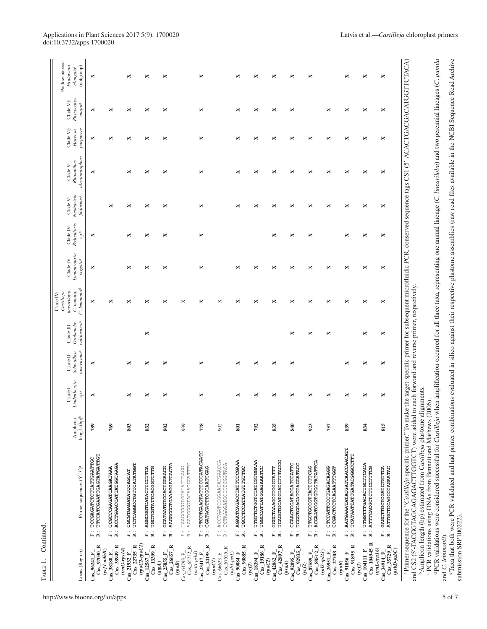TABLE 1. Continued. ABLE 1. Continued.

| ×<br>×<br>×<br>×<br>×<br>×<br>×<br>×<br>×<br>×<br>×<br>×<br>×<br>×<br>×<br>×<br>×<br>×<br>×<br>×<br>×<br>×<br>×<br>×<br>×<br>×<br>×<br>×<br>×<br>×<br>×<br>×<br>×<br>×<br>769<br>939<br>778<br>835<br>789<br>803<br>832<br>802<br>902<br>801<br>792<br>F: TTCCTGAAGTATTTCCCATACAATC<br>TTCCATCGAATTGAGTATGATTGT<br>TCCGAGATCTCTTATTGAATTGC<br>F: AGAATCAGACCTATTCCCGAAA<br>F: TTGTTCTGGTCTATCGTGGAA<br>R: TGGCCATTATGGAAAATC<br>TCAGGTGCATGTATCTTTACCG<br>F: ACCTAATCCGGAATATGAACCA<br>R: TCTAAAGATGCCCTCGGTACA<br>R: ACCTGAACCATTATGGCAAGA<br>R: AAGGCCCTGAAAGGATCACTA<br>AAATGCGGTACAAGGATTTC<br>TCTCAGGCCTGTTCATATGGT<br>R: TGCCTCCATTATGTTGTTGC<br>R: TGCTCGTATTCACGGTCTTG<br>F: GCATAATGTCCACTGGAACG<br>TAAGCCCGTGGATATTGAGG<br>CCGCCCAAGATCAAGATAAA<br>F: AGGCGGTCATACTTCCTTCA<br>CGATACATTTCGCAATCGAG<br>F: GGGCTAAAGCGTGGGTATTT<br>R: TCAGGTGCATGTATCTTTAC<br>CGCGTGAGATATCCAGCAT<br>i.<br>Fi<br>$\ddot{\mathbf{k}}$<br>$\begin{array}{c} \ldots \\ \boxdot \; \boxdot \end{array}$<br>$\ddot{\bf k}$<br>i.<br>B<br>i.<br>(3.20C1)<br>$Cas_38949_R$<br>$Cas_22735_R$<br>$Cas\_13399$ <sub><math>R</math></sub><br>$Cas_226657_R$<br>$Cas_224195_R$<br>$Cas_90885$ <sub>R</sub><br>$Cas\_19186_R$<br>$Cas_42897$ <sub>R</sub><br>$Cas_97030_R$<br>$Cas_65732_R$<br>$Cas\_67525_R$<br>$(trnG-rps14)$<br>$(ycf1-ndhB)$<br>$Cas\_12567_F$<br>$(peta-psbJ)$<br>$Cas_21932$ F<br>Cas_25855_F<br>$Cas_64793_F$<br>$(psbJ-petL)$<br>$\cos 23417$ F<br>$Cas$ 90084 $F$<br>$Cas\_18394\_F$<br>$Cas_42062_F$<br>$Cas_96241_F$<br>$Cas_38180_F$<br>$Cas_66623_F$<br>$\mathit{(cpoCI)}$<br>$\left( rpoC2\right)$<br>$\left( 5^{o}d\right)$<br>(apA)<br>(ycf2) | ×<br>×<br>×<br>×<br>×<br>×<br>×<br>×<br>×<br>×<br>×<br>×<br>×<br>× | ×<br>×<br>×<br>×<br>×<br>×<br>×<br>× |
|----------------------------------------------------------------------------------------------------------------------------------------------------------------------------------------------------------------------------------------------------------------------------------------------------------------------------------------------------------------------------------------------------------------------------------------------------------------------------------------------------------------------------------------------------------------------------------------------------------------------------------------------------------------------------------------------------------------------------------------------------------------------------------------------------------------------------------------------------------------------------------------------------------------------------------------------------------------------------------------------------------------------------------------------------------------------------------------------------------------------------------------------------------------------------------------------------------------------------------------------------------------------------------------------------------------------------------------------------------------------------------------------------------------------------------------------------------------------------------------------------------------------------------------------------------------------------------------------------------------------------------------------------------|--------------------------------------------------------------------|--------------------------------------|
|                                                                                                                                                                                                                                                                                                                                                                                                                                                                                                                                                                                                                                                                                                                                                                                                                                                                                                                                                                                                                                                                                                                                                                                                                                                                                                                                                                                                                                                                                                                                                                                                                                                          |                                                                    |                                      |
|                                                                                                                                                                                                                                                                                                                                                                                                                                                                                                                                                                                                                                                                                                                                                                                                                                                                                                                                                                                                                                                                                                                                                                                                                                                                                                                                                                                                                                                                                                                                                                                                                                                          |                                                                    |                                      |
|                                                                                                                                                                                                                                                                                                                                                                                                                                                                                                                                                                                                                                                                                                                                                                                                                                                                                                                                                                                                                                                                                                                                                                                                                                                                                                                                                                                                                                                                                                                                                                                                                                                          |                                                                    |                                      |
|                                                                                                                                                                                                                                                                                                                                                                                                                                                                                                                                                                                                                                                                                                                                                                                                                                                                                                                                                                                                                                                                                                                                                                                                                                                                                                                                                                                                                                                                                                                                                                                                                                                          |                                                                    |                                      |
|                                                                                                                                                                                                                                                                                                                                                                                                                                                                                                                                                                                                                                                                                                                                                                                                                                                                                                                                                                                                                                                                                                                                                                                                                                                                                                                                                                                                                                                                                                                                                                                                                                                          |                                                                    |                                      |
|                                                                                                                                                                                                                                                                                                                                                                                                                                                                                                                                                                                                                                                                                                                                                                                                                                                                                                                                                                                                                                                                                                                                                                                                                                                                                                                                                                                                                                                                                                                                                                                                                                                          |                                                                    |                                      |
|                                                                                                                                                                                                                                                                                                                                                                                                                                                                                                                                                                                                                                                                                                                                                                                                                                                                                                                                                                                                                                                                                                                                                                                                                                                                                                                                                                                                                                                                                                                                                                                                                                                          |                                                                    |                                      |
|                                                                                                                                                                                                                                                                                                                                                                                                                                                                                                                                                                                                                                                                                                                                                                                                                                                                                                                                                                                                                                                                                                                                                                                                                                                                                                                                                                                                                                                                                                                                                                                                                                                          |                                                                    |                                      |
|                                                                                                                                                                                                                                                                                                                                                                                                                                                                                                                                                                                                                                                                                                                                                                                                                                                                                                                                                                                                                                                                                                                                                                                                                                                                                                                                                                                                                                                                                                                                                                                                                                                          |                                                                    |                                      |
|                                                                                                                                                                                                                                                                                                                                                                                                                                                                                                                                                                                                                                                                                                                                                                                                                                                                                                                                                                                                                                                                                                                                                                                                                                                                                                                                                                                                                                                                                                                                                                                                                                                          |                                                                    |                                      |
|                                                                                                                                                                                                                                                                                                                                                                                                                                                                                                                                                                                                                                                                                                                                                                                                                                                                                                                                                                                                                                                                                                                                                                                                                                                                                                                                                                                                                                                                                                                                                                                                                                                          | ×                                                                  | ×                                    |
| ×<br>×<br>×<br>×<br>×<br>×<br>840<br>F: CCAAGTCGATACGATCCATTC<br>R: TCGGTGCAGATGTAGGATACC<br>$Cas_92935_R$<br>$Cas_92095_F$<br>(psaA)                                                                                                                                                                                                                                                                                                                                                                                                                                                                                                                                                                                                                                                                                                                                                                                                                                                                                                                                                                                                                                                                                                                                                                                                                                                                                                                                                                                                                                                                                                                    | ×                                                                  |                                      |
| ×<br>×<br>×<br>×<br>×<br>×<br>923<br>R: ACGAATCGGTGTGGTATATTCA<br>F: TTGCTGCCGTTACTCTTCAG<br>$Cas\_88512_R$<br>$(rp l2 - rp l23)$<br>$Cas\_87589$ F<br>(vef2)                                                                                                                                                                                                                                                                                                                                                                                                                                                                                                                                                                                                                                                                                                                                                                                                                                                                                                                                                                                                                                                                                                                                                                                                                                                                                                                                                                                                                                                                                            | ×<br>×                                                             |                                      |
| ×<br>×<br>×<br>757<br>CTCCATTCCCTGAGACAAGG<br>CCGACTCCTCAGAATTTGGT<br><br>中 14<br>$\overline{\text{Cas}}_2$ 27708 R<br>$Cas_26951_F$                                                                                                                                                                                                                                                                                                                                                                                                                                                                                                                                                                                                                                                                                                                                                                                                                                                                                                                                                                                                                                                                                                                                                                                                                                                                                                                                                                                                                                                                                                                     | ×<br>×                                                             | ×                                    |
| ×<br>×<br>×<br>×<br>839<br>F: AATGAAATATACGATCAACCAACATT<br>TCATAATTATTGATACGGCCCTTT<br>$\ddot{\bf k}$<br>$Cas_91895_R$<br>$Cas$ 91056 $F$<br>$\left( \mathit{TopoB}\right)$                                                                                                                                                                                                                                                                                                                                                                                                                                                                                                                                                                                                                                                                                                                                                                                                                                                                                                                                                                                                                                                                                                                                                                                                                                                                                                                                                                                                                                                                             | ×<br>×                                                             | ×                                    |
| ×<br>×<br>×<br>×<br>×<br>834<br>F: TTGGTTTGACACTGCTTCACA<br>R: ATTTCACGCTCTTCCTTTCG<br>$CaS_104945$ R<br>$Cas\_104111$ $F$<br>(vef2)                                                                                                                                                                                                                                                                                                                                                                                                                                                                                                                                                                                                                                                                                                                                                                                                                                                                                                                                                                                                                                                                                                                                                                                                                                                                                                                                                                                                                                                                                                                     | ×<br>×                                                             | ×                                    |
| ×<br>×<br>×<br>×<br>×<br>×<br>×<br>815<br>F: GAGCTTGCTCGATCTGTTCA<br>R: ATTGCTCCAGCCCAGAATAC<br>Cas 35729 R<br>$(trnL-rn16)$<br>$(psbD-psC)$<br>$Cas_34914_F$                                                                                                                                                                                                                                                                                                                                                                                                                                                                                                                                                                                                                                                                                                                                                                                                                                                                                                                                                                                                                                                                                                                                                                                                                                                                                                                                                                                                                                                                                            | ×<br>×                                                             | ×                                    |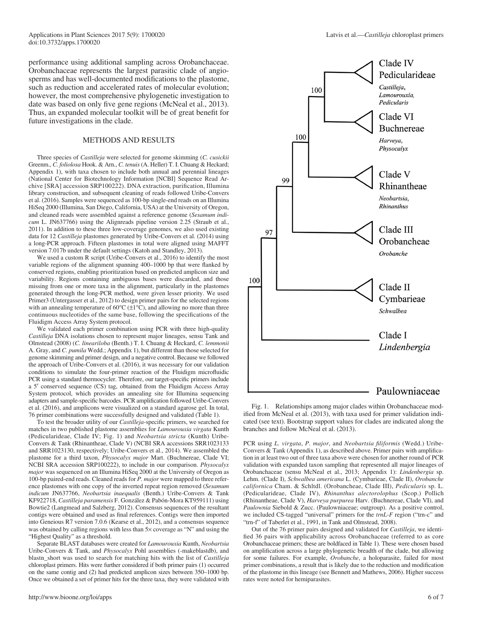performance using additional sampling across Orobanchaceae. Orobanchaceae represents the largest parasitic clade of angiosperms and has well-documented modifications to the plastome, such as reduction and accelerated rates of molecular evolution; however, the most comprehensive phylogenetic investigation to date was based on only five gene regions (McNeal et al., 2013). Thus, an expanded molecular toolkit will be of great benefit for future investigations in the clade.

#### METHODS AND RESULTS

Three species of *Castilleja* were selected for genome skimming (*C. cusickii* Greenm., *C. foliolosa* Hook. & Arn., *C. tenuis* (A. Heller) T. I. Chuang & Heckard; Appendix 1), with taxa chosen to include both annual and perennial lineages (National Center for Biotechnology Information [NCBI] Sequence Read Archive [SRA] accession SRP100222). DNA extraction, purification, Illumina library construction, and subsequent cleaning of reads followed Uribe-Convers et al. (2016). Samples were sequenced as 100-bp single-end reads on an Illumina HiSeq 2000 (Illumina, San Diego, California, USA) at the University of Oregon, and cleaned reads were assembled against a reference genome (*Sesamum indicum* L. JN637766) using the Alignreads pipeline version 2.25 (Straub et al., 2011). In addition to these three low-coverage genomes, we also used existing data for 12 *Castilleja* plastomes generated by Uribe-Convers et al. (2014) using a long-PCR approach. Fifteen plastomes in total were aligned using MAFFT version 7.017b under the default settings (Katoh and Standley, 2013).

We used a custom R script (Uribe-Convers et al., 2016) to identify the most variable regions of the alignment spanning 400–1000 bp that were flanked by conserved regions, enabling prioritization based on predicted amplicon size and variability. Regions containing ambiguous bases were discarded, and those missing from one or more taxa in the alignment, particularly in the plastomes generated through the long-PCR method, were given lesser priority. We used Primer3 (Untergasser et al., 2012) to design primer pairs for the selected regions with an annealing temperature of  $60^{\circ}C (\pm 1^{\circ}C)$ , and allowing no more than three continuous nucleotides of the same base, following the specifications of the Fluidigm Access Array System protocol.

We validated each primer combination using PCR with three high-quality *Castilleja* DNA isolations chosen to represent major lineages, sensu Tank and Olmstead (2008) (*C. lineariloba* (Benth.) T. I. Chuang & Heckard, *C. lemmonii* A. Gray, and *C. pumila* Wedd.; Appendix 1), but different than those selected for genome skimming and primer design, and a negative control. Because we followed the approach of Uribe-Convers et al. (2016), it was necessary for our validation conditions to simulate the four-primer reaction of the Fluidigm microfluidic PCR using a standard thermocycler. Therefore, our target-specific primers include a 5′ conserved sequence (CS) tag, obtained from the Fluidigm Access Array System protocol, which provides an annealing site for Illumina sequencing adapters and sample-specific barcodes. PCR amplification followed Uribe-Convers et al. (2016), and amplicons were visualized on a standard agarose gel. In total, 76 primer combinations were successfully designed and validated (Table 1).

To test the broader utility of our *Castilleja-*specific primers, we searched for matches in two published plastome assemblies for *Lamourouxia virgata* Kunth (Pedicularideae, Clade IV; Fig. 1) and *Neobartsia stricta* (Kunth) Uribe-Convers & Tank (Rhinantheae, Clade V) (NCBI SRA accessions SRR1023133 and SRR1023130, respectively; Uribe-Convers et al., 2014). We assembled the plastome for a third taxon, *Physocalyx major* Mart. (Buchnereae, Clade VI; NCBI SRA accession SRP100222), to include in our comparison. *Physocalyx major* was sequenced on an Illumina HiSeq 2000 at the University of Oregon as 100-bp paired-end reads. Cleaned reads for *P. major* were mapped to three reference plastomes with one copy of the inverted repeat region removed (*Sesamum indicum* JN637766, *Neobartsia inaequalis* (Benth.) Uribe-Convers & Tank KF922718, *Castilleja paramensis* F. González & Pabón-Mora KT959111) using Bowtie2 (Langmead and Salzberg, 2012). Consensus sequences of the resultant contigs were obtained and used as final references. Contigs were then imported into Geneious R7 version 7.0.6 (Kearse et al., 2012), and a consensus sequence was obtained by calling regions with less than  $5\times$  coverage as "N" and using the "Highest Quality" as a threshold.

Separate BLAST databases were created for *Lamourouxia* Kunth, *Neobartsia*  Uribe-Convers & Tank, and *Physocalyx* Pohl assemblies (-makeblastdb), and blastn\_short was used to search for matching hits with the list of *Castilleja* chloroplast primers. Hits were further considered if both primer pairs (1) occurred on the same contig and (2) had predicted amplicon sizes between 350–1000 bp. Once we obtained a set of primer hits for the three taxa, they were validated with



Fig. 1. Relationships among major clades within Orobanchaceae modified from McNeal et al. (2013), with taxa used for primer validation indicated (see text). Bootstrap support values for clades are indicated along the branches and follow McNeal et al. (2013).

PCR using *L. virgata*, *P. major*, and *Neobartsia filiformis* (Wedd.) Uribe-Convers & Tank (Appendix 1), as described above. Primer pairs with amplification in at least two out of three taxa above were chosen for another round of PCR validation with expanded taxon sampling that represented all major lineages of Orobanchaceae (sensu McNeal et al., 2013; Appendix 1): *Lindenbergia* sp. Lehm. (Clade I), *Schwalbea americana* L. (Cymbarieae, Clade II), *Orobanche californica* Cham. & Schltdl. (Orobancheae, Clade III), *Pedicularis* sp. L. (Pedicularideae, Clade IV), *Rhinanthus alectorolophus* (Scop.) Pollich (Rhinantheae, Clade V), *Harveya purpurea* Harv. (Buchnereae, Clade VI), and *Paulownia* Siebold & Zucc. (Paulowniaceae; outgroup). As a positive control, we included CS-tagged "universal" primers for the *trnL-F* region ("trn-c" and "trn-f" of Taberlet et al., 1991, in Tank and Olmstead, 2008).

Out of the 76 primer pairs designed and validated for *Castilleja*, we identified 36 pairs with applicability across Orobanchaceae (referred to as core Orobanchaceae primers; these are boldfaced in Table 1). These were chosen based on amplification across a large phylogenetic breadth of the clade, but allowing for some failures. For example, *Orobanche*, a holoparasite, failed for most primer combinations, a result that is likely due to the reduction and modification of the plastome in this lineage (see Bennett and Mathews, 2006). Higher success rates were noted for hemiparasites.